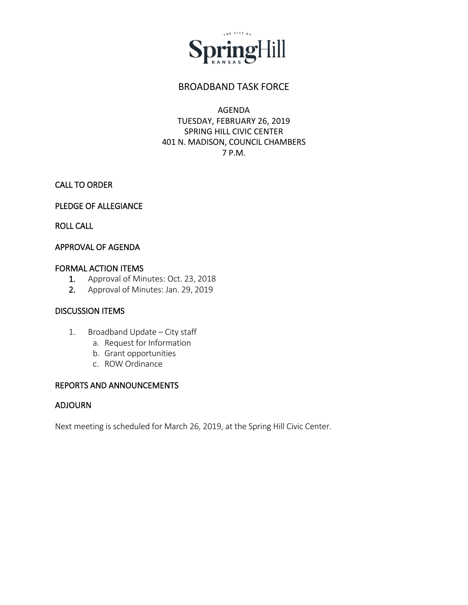

# BROADBAND TASK FORCE

# AGENDA TUESDAY, FEBRUARY 26, 2019 SPRING HILL CIVIC CENTER 401 N. MADISON, COUNCIL CHAMBERS 7 P.M.

# CALL TO ORDER

# PLEDGE OF ALLEGIANCE

ROLL CALL

### APPROVAL OF AGENDA

#### FORMAL ACTION ITEMS

- 1. Approval of Minutes: Oct. 23, 2018
- 2. Approval of Minutes: Jan. 29, 2019

#### DISCUSSION ITEMS

- 1. Broadband Update City staff
	- a. Request for Information
	- b. Grant opportunities
	- c. ROW Ordinance

# REPORTS AND ANNOUNCEMENTS

#### ADJOURN

Next meeting is scheduled for March 26, 2019, at the Spring Hill Civic Center.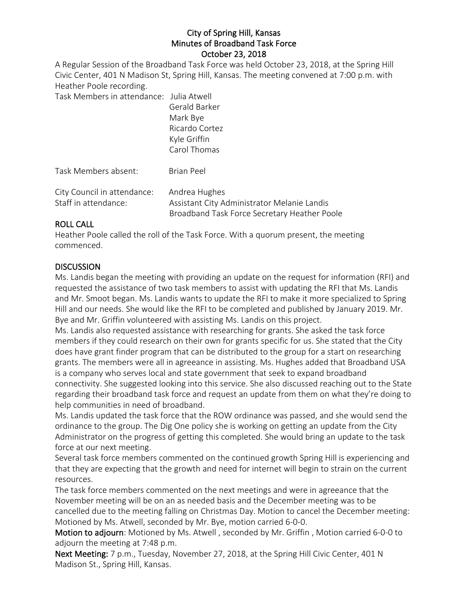### City of Spring Hill, Kansas Minutes of Broadband Task Force October 23, 2018

A Regular Session of the Broadband Task Force was held October 23, 2018, at the Spring Hill Civic Center, 401 N Madison St, Spring Hill, Kansas. The meeting convened at 7:00 p.m. with Heather Poole recording.

Task Members in attendance: Julia Atwell

|                                                     | Gerald Barker<br>Mark Bye<br>Ricardo Cortez<br>Kyle Griffin<br>Carol Thomas                                  |
|-----------------------------------------------------|--------------------------------------------------------------------------------------------------------------|
| Task Members absent:                                | <b>Brian Peel</b>                                                                                            |
| City Council in attendance:<br>Staff in attendance: | Andrea Hughes<br>Assistant City Administrator Melanie Landis<br>Broadband Task Force Secretary Heather Poole |

### ROLL CALL

Heather Poole called the roll of the Task Force. With a quorum present, the meeting commenced.

# **DISCUSSION**

Ms. Landis began the meeting with providing an update on the request for information (RFI) and requested the assistance of two task members to assist with updating the RFI that Ms. Landis and Mr. Smoot began. Ms. Landis wants to update the RFI to make it more specialized to Spring Hill and our needs. She would like the RFI to be completed and published by January 2019. Mr. Bye and Mr. Griffin volunteered with assisting Ms. Landis on this project.

Ms. Landis also requested assistance with researching for grants. She asked the task force members if they could research on their own for grants specific for us. She stated that the City does have grant finder program that can be distributed to the group for a start on researching grants. The members were all in agreeance in assisting. Ms. Hughes added that Broadband USA is a company who serves local and state government that seek to expand broadband connectivity. She suggested looking into this service. She also discussed reaching out to the State regarding their broadband task force and request an update from them on what they're doing to help communities in need of broadband.

Ms. Landis updated the task force that the ROW ordinance was passed, and she would send the ordinance to the group. The Dig One policy she is working on getting an update from the City Administrator on the progress of getting this completed. She would bring an update to the task force at our next meeting.

Several task force members commented on the continued growth Spring Hill is experiencing and that they are expecting that the growth and need for internet will begin to strain on the current resources.

The task force members commented on the next meetings and were in agreeance that the November meeting will be on an as needed basis and the December meeting was to be cancelled due to the meeting falling on Christmas Day. Motion to cancel the December meeting: Motioned by Ms. Atwell, seconded by Mr. Bye, motion carried 6-0-0.

Motion to adjourn: Motioned by Ms. Atwell , seconded by Mr. Griffin , Motion carried 6-0-0 to adjourn the meeting at 7:48 p.m.

Next Meeting: 7 p.m., Tuesday, November 27, 2018, at the Spring Hill Civic Center, 401 N Madison St., Spring Hill, Kansas.